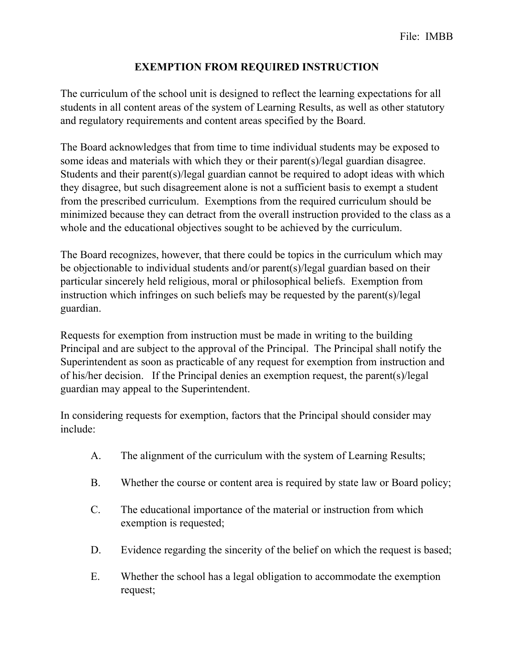## **EXEMPTION FROM REQUIRED INSTRUCTION**

The curriculum of the school unit is designed to reflect the learning expectations for all students in all content areas of the system of Learning Results, as well as other statutory and regulatory requirements and content areas specified by the Board.

The Board acknowledges that from time to time individual students may be exposed to some ideas and materials with which they or their parent(s)/legal guardian disagree. Students and their parent(s)/legal guardian cannot be required to adopt ideas with which they disagree, but such disagreement alone is not a sufficient basis to exempt a student from the prescribed curriculum. Exemptions from the required curriculum should be minimized because they can detract from the overall instruction provided to the class as a whole and the educational objectives sought to be achieved by the curriculum.

The Board recognizes, however, that there could be topics in the curriculum which may be objectionable to individual students and/or parent(s)/legal guardian based on their particular sincerely held religious, moral or philosophical beliefs. Exemption from instruction which infringes on such beliefs may be requested by the parent(s)/legal guardian.

Requests for exemption from instruction must be made in writing to the building Principal and are subject to the approval of the Principal. The Principal shall notify the Superintendent as soon as practicable of any request for exemption from instruction and of his/her decision. If the Principal denies an exemption request, the parent(s)/legal guardian may appeal to the Superintendent.

In considering requests for exemption, factors that the Principal should consider may include:

- A. The alignment of the curriculum with the system of Learning Results;
- B. Whether the course or content area is required by state law or Board policy;
- C. The educational importance of the material or instruction from which exemption is requested;
- D. Evidence regarding the sincerity of the belief on which the request is based;
- E. Whether the school has a legal obligation to accommodate the exemption request;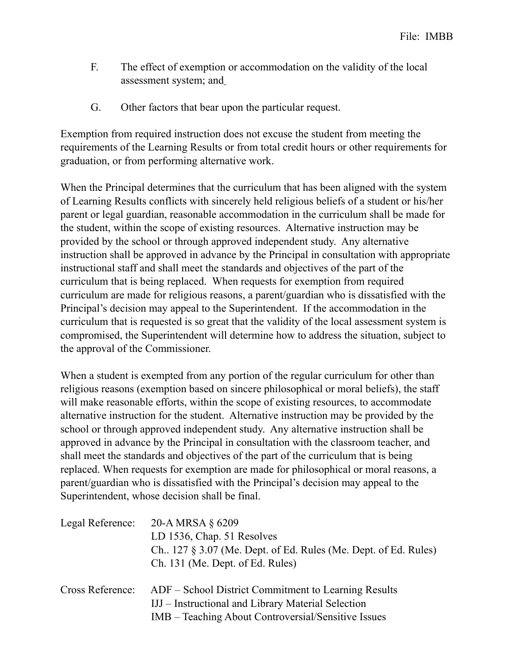- F. The effect of exemption or accommodation on the validity of the local assessment system; and
- G. Other factors that bear upon the particular request.

Exemption from required instruction does not excuse the student from meeting the requirements of the Learning Results or from total credit hours or other requirements for graduation, or from performing alternative work.

When the Principal determines that the curriculum that has been aligned with the system of Learning Results conflicts with sincerely held religious beliefs of a student or his/her parent or legal guardian, reasonable accommodation in the curriculum shall be made for the student, within the scope of existing resources. Alternative instruction may be provided by the school or through approved independent study. Any alternative instruction shall be approved in advance by the Principal in consultation with appropriate instructional staff and shall meet the standards and objectives of the part of the curriculum that is being replaced. When requests for exemption from required curriculum are made for religious reasons, a parent/guardian who is dissatisfied with the Principal's decision may appeal to the Superintendent. If the accommodation in the curriculum that is requested is so great that the validity of the local assessment system is compromised, the Superintendent will determine how to address the situation, subject to the approval of the Commissioner.

When a student is exempted from any portion of the regular curriculum for other than religious reasons (exemption based on sincere philosophical or moral beliefs), the staff will make reasonable efforts, within the scope of existing resources, to accommodate alternative instruction for the student. Alternative instruction may be provided by the school or through approved independent study. Any alternative instruction shall be approved in advance by the Principal in consultation with the classroom teacher, and shall meet the standards and objectives of the part of the curriculum that is being replaced. When requests for exemption are made for philosophical or moral reasons, a parent/guardian who is dissatisfied with the Principal's decision may appeal to the Superintendent, whose decision shall be final.

| Legal Reference: | 20-A MRSA $\S$ 6209<br>LD 1536, Chap. 51 Resolves<br>Ch., $127 \S 3.07$ (Me. Dept. of Ed. Rules (Me. Dept. of Ed. Rules)<br>Ch. 131 (Me. Dept. of Ed. Rules)      |
|------------------|-------------------------------------------------------------------------------------------------------------------------------------------------------------------|
| Cross Reference: | ADF – School District Commitment to Learning Results<br>IJJ – Instructional and Library Material Selection<br>IMB – Teaching About Controversial/Sensitive Issues |